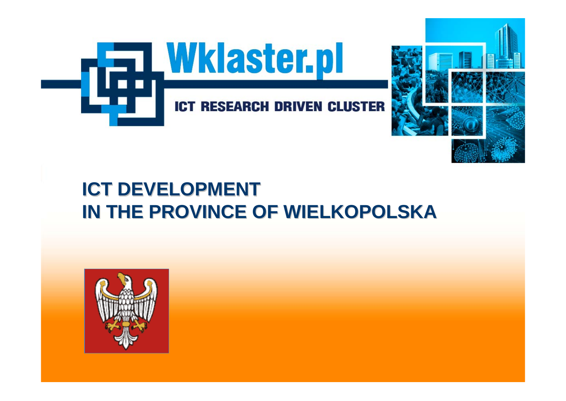

# **ICT DEVELOPMENT IN THE PROVINCE OF WIELKOPOLSKA IN THE PROVINCE OF WIELKOPOLSKA**

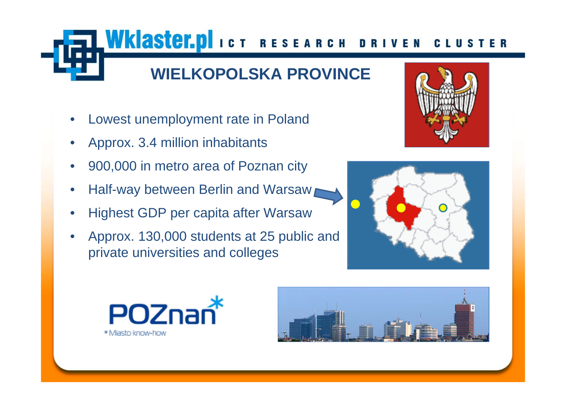## **WIELKOPOLSKA PROVINCE**

TWKIaster.pl ICT RESEARCH DRIVEN

- Lowest unemployment rate in Poland
- Approx. 3.4 million inhabitants
- 900,000 in metro area of Poznan city
- Half-way between Berlin and Warsaw
- Highest GDP per capita after Warsaw
- Approx. 130,000 students at 25 public and private universities and colleges



CLUS





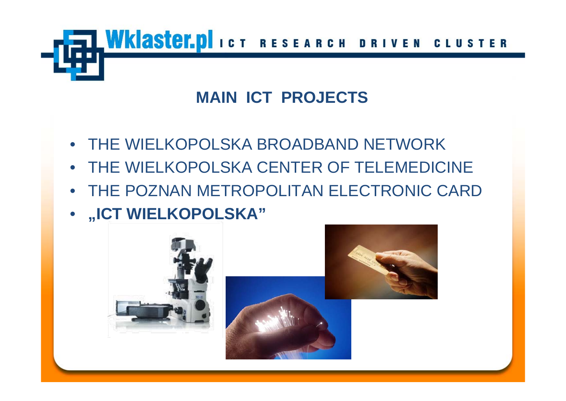WKIASTET. DI ICT RESEARCH DRIVEN CLUS

## **MAIN ICT PROJECTS**

- THE WIELKOPOLSKA BROADBAND NETWORK
- THE WIELKOPOLSKA CENTER OF TELEMEDICINE
- THE POZNAN METROPOLITAN ELECTRONIC CARD
- **"ICT WIELKOPOLSKA"**

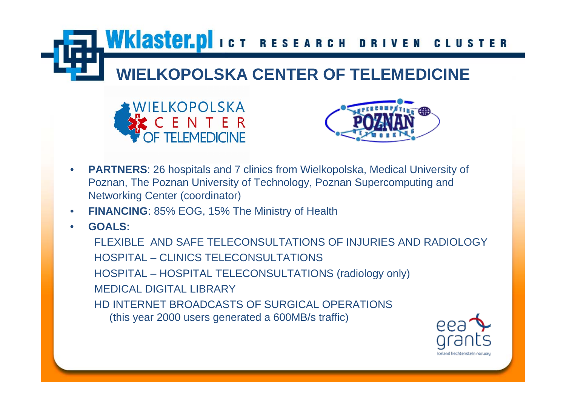**WKIASTET.DI**ICT RESEARCH DRIVEN CLUSTER

# **WIELKOPOLSKA CENTER OF TELEMEDICINE**





- **PARTNERS**: 26 hospitals and 7 clinics from Wielkopolska, Medical University of Poznan, The Poznan University of Technology, Poznan Supercomputing and Networking Center (coordinator)
- **FINANCING: 85% EOG, 15% The Ministry of Health**
- **GOALS:**

FLEXIBLE AND SAFE TELECONSULTATIONS OF INJURIES AND RADIOLOGYHOSPITAL – CLINICS TELECONSULTATIONSHOSPITAL – HOSPITAL TELECONSULTATIONS (radiology only) MEDICAL DIGITAL LIBRARYHD INTERNET BROADCASTS OF SURGICAL OPERATIONS (this year 2000 users generated a 600MB/s traffic)

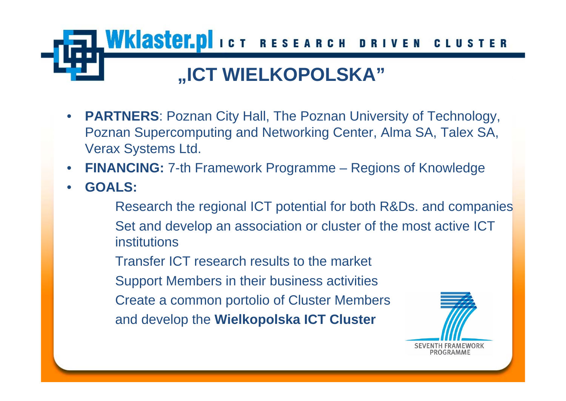

- **PARTNERS**: Poznan City Hall, The Poznan University of Technology, Poznan Supercomputing and Networking Center, Alma SA, Talex SA, Verax Systems Ltd.
- **FINANCING:** 7-th Framework Programme Regions of Knowledge
- **GOALS:**
	- Research the regional ICT potential for both R&Ds. and companies Set and develop an association or cluster of the most active ICT institutions
	- Transfer ICT research results to the market
	- Support Members in their business activities
	- Create a common portolio of Cluster Members
	- and develop the **Wielkopolska ICT Cluster**

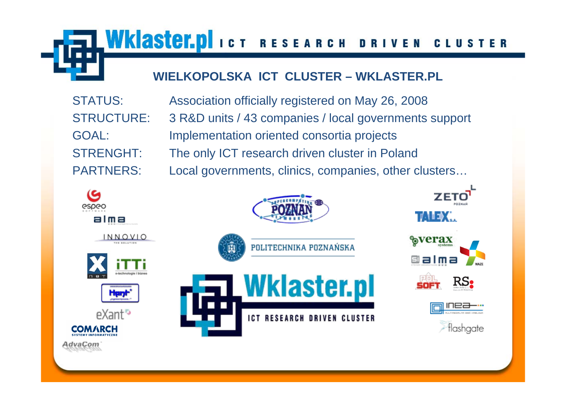LWKlaster.pl ICT RESEARCH DRIVEN **CLUSTER** 

### **WIELKOPOLSKA ICT CLUSTER – WKLASTER.PL**

STATUS: Association officially registered on May 26, 2008 STRUCTURE: 3 R&D units / 43 companies / local governments support GOAL: Implementation oriented consortia projects STRENGHT: The only ICT research driven cluster in Poland PARTNERS: Local governments, clinics, companies, other clusters...















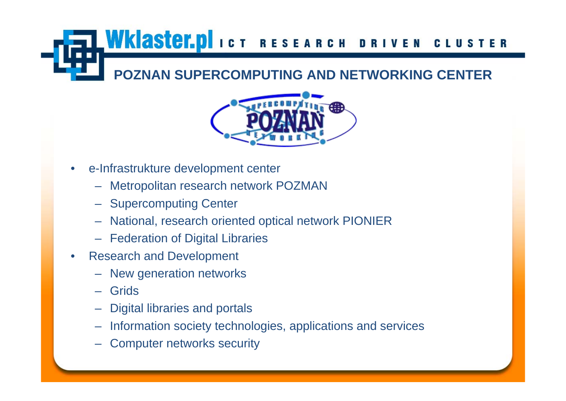#### **WKIaster.pl**ICT RESEARCH DRIVEN **CLUSTER**

## **POZNAN SUPERCOMPUTING AND NETWORKING CENTER**



- e-Infrastrukture development center
	- Metropolitan research network POZMAN
	- Supercomputing Center
	- National, research oriented optical network PIONIER
	- Federation of Digital Libraries
- Research and Development
	- New generation networks
	- Grids
	- Digital libraries and portals
	- Information society technologies, applications and services
	- Computer networks security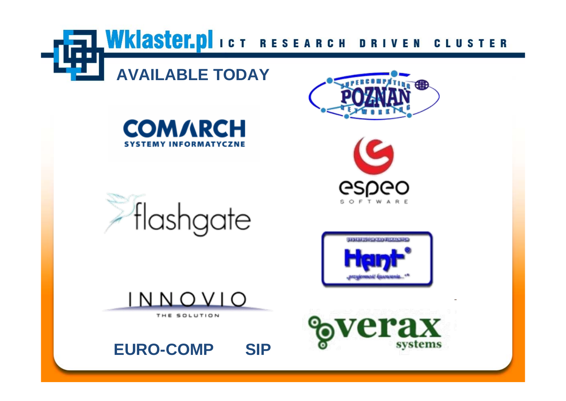WKIaster.plict RESEARCH DRIVEN **CLUSTER** 

## **AVAILABLE TODAY**











INNOVIO

THE SOLUTION

**EURO-COMP SIP**

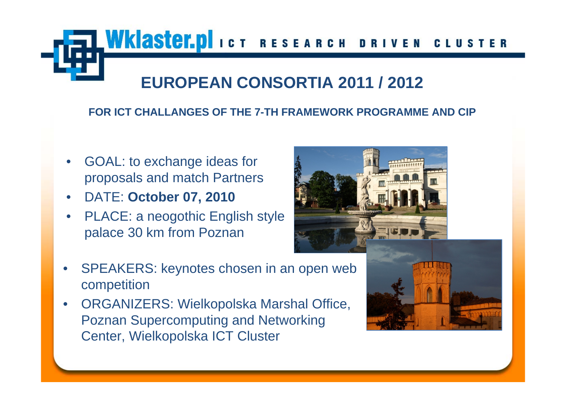WKIaster.pl ICT RESEARCH DRIVEN **CLUST** 

## **EUROPEAN CONSORTIA 2011 / 2012**

#### **FOR ICT CHALLANGES OF THE 7-TH FRAMEWORK PROGRAMME AND CIP**

- GOAL: to exchange ideas for proposals and match Partners
- DATE: **October 07, 2010**
- PLACE: a neogothic English style palace 30 km from Poznan



- SPEAKERS: keynotes chosen in an open web competition
- ORGANIZERS: Wielkopolska Marshal Office, Poznan Supercomputing and Networking Center, Wielkopolska ICT Cluster